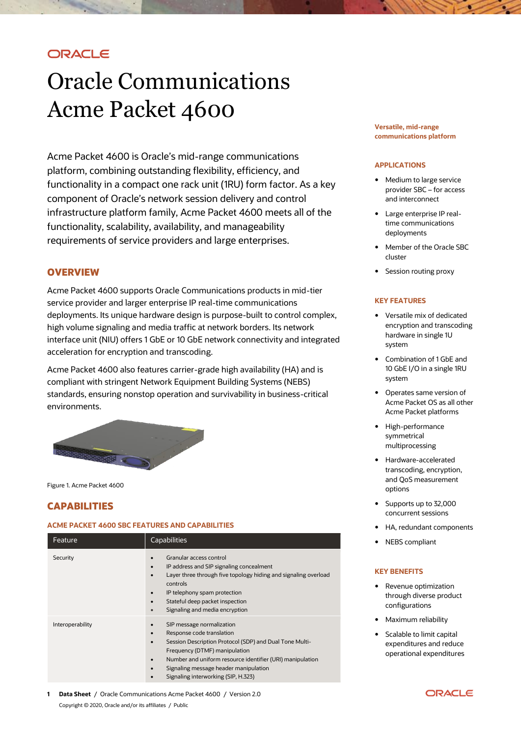# ORACLE

# Oracle Communications Acme Packet 4600

Acme Packet 4600 is Oracle's mid-range communications platform, combining outstanding flexibility, efficiency, and functionality in a compact one rack unit (1RU) form factor. As a key component of Oracle's network session delivery and control infrastructure platform family, Acme Packet 4600 meets all of the functionality, scalability, availability, and manageability requirements of service providers and large enterprises.

# **OVERVIEW**

Acme Packet 4600 supports Oracle Communications products in mid-tier service provider and larger enterprise IP real-time communications deployments. Its unique hardware design is purpose-built to control complex, high volume signaling and media traffic at network borders. Its network interface unit (NIU) offers 1 GbE or 10 GbE network connectivity and integrated acceleration for encryption and transcoding.

Acme Packet 4600 also features carrier-grade high availability (HA) and is compliant with stringent Network Equipment Building Systems (NEBS) standards, ensuring nonstop operation and survivability in business-critical environments.



Figure 1. Acme Packet 4600

# **CAPABILITIES**

### **ACME PACKET 4600 SBC FEATURES AND CAPABILITIES**

| Feature          | <b>Capabilities</b>                                                                                                                                                                                                                                                                                                                                                           |
|------------------|-------------------------------------------------------------------------------------------------------------------------------------------------------------------------------------------------------------------------------------------------------------------------------------------------------------------------------------------------------------------------------|
| Security         | Granular access control<br>$\bullet$<br>IP address and SIP signaling concealment<br>$\bullet$<br>Layer three through five topology hiding and signaling overload<br>$\bullet$<br>controls<br>IP telephony spam protection<br>$\bullet$<br>Stateful deep packet inspection<br>$\bullet$<br>Signaling and media encryption<br>$\bullet$                                         |
| Interoperability | SIP message normalization<br>$\bullet$<br>Response code translation<br>$\bullet$<br>Session Description Protocol (SDP) and Dual Tone Multi-<br>$\bullet$<br>Frequency (DTMF) manipulation<br>Number and uniform resource identifier (URI) manipulation<br>$\bullet$<br>Signaling message header manipulation<br>$\bullet$<br>Signaling interworking (SIP, H.323)<br>$\bullet$ |

**1 Data Sheet** / Oracle Communications Acme Packet 4600 / Version 2.0 Copyright © 2020, Oracle and/or its affiliates / Public

#### **Versatile, mid-range communications platform**

#### **APPLICATIONS**

- Medium to large service provider SBC – for access and interconnect
- Large enterprise IP realtime communications deployments
- Member of the Oracle SBC cluster
- Session routing proxy

#### **KEY FEATURES**

- Versatile mix of dedicated encryption and transcoding hardware in single 1U system
- Combination of 1 GbE and 10 GbE I/O in a single 1RU system
- Operates same version of Acme Packet OS as all other Acme Packet platforms
- High-performance symmetrical multiprocessing
- Hardware-accelerated transcoding, encryption, and QoS measurement options
- Supports up to 32,000 concurrent sessions
- HA, redundant components
- NEBS compliant

#### **KEY BENEFITS**

- Revenue optimization through diverse product configurations
- Maximum reliability
- Scalable to limit capital expenditures and reduce operational expenditures

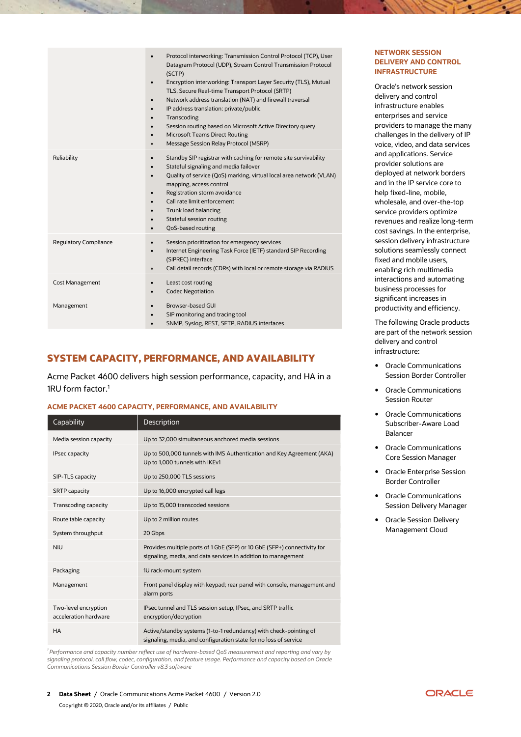|                              | Protocol interworking: Transmission Control Protocol (TCP), User<br>$\bullet$<br>Datagram Protocol (UDP), Stream Control Transmission Protocol<br>(SCTP)<br>Encryption interworking: Transport Layer Security (TLS), Mutual<br>TLS, Secure Real-time Transport Protocol (SRTP)<br>Network address translation (NAT) and firewall traversal<br>IP address translation: private/public<br>Transcoding<br>$\bullet$<br>Session routing based on Microsoft Active Directory query<br><b>Microsoft Teams Direct Routing</b><br>Message Session Relay Protocol (MSRP)<br>$\bullet$ |
|------------------------------|------------------------------------------------------------------------------------------------------------------------------------------------------------------------------------------------------------------------------------------------------------------------------------------------------------------------------------------------------------------------------------------------------------------------------------------------------------------------------------------------------------------------------------------------------------------------------|
| Reliability                  | Standby SIP registrar with caching for remote site survivability<br>$\bullet$<br>Stateful signaling and media failover<br>Quality of service (QoS) marking, virtual local area network (VLAN)<br>$\bullet$<br>mapping, access control<br>Registration storm avoidance<br>Call rate limit enforcement<br>Trunk load balancing<br>Stateful session routing<br>QoS-based routing<br>$\bullet$                                                                                                                                                                                   |
| <b>Regulatory Compliance</b> | Session prioritization for emergency services<br>$\bullet$<br>Internet Engineering Task Force (IETF) standard SIP Recording<br>$\bullet$<br>(SIPREC) interface<br>Call detail records (CDRs) with local or remote storage via RADIUS<br>$\bullet$                                                                                                                                                                                                                                                                                                                            |
| <b>Cost Management</b>       | Least cost routing<br>$\bullet$<br><b>Codec Negotiation</b><br>$\bullet$                                                                                                                                                                                                                                                                                                                                                                                                                                                                                                     |
| Management                   | <b>Browser-based GUI</b><br>$\bullet$<br>SIP monitoring and tracing tool<br>SNMP, Syslog, REST, SFTP, RADIUS interfaces                                                                                                                                                                                                                                                                                                                                                                                                                                                      |

# **SYSTEM CAPACITY, PERFORMANCE, AND AVAILABILITY**

Acme Packet 4600 delivers high session performance, capacity, and HA in a 1RU form factor.<sup>1</sup>

## **ACME PACKET 4600 CAPACITY, PERFORMANCE, AND AVAILABILITY**

| Capability                                    | <b>Description</b>                                                                                                                        |
|-----------------------------------------------|-------------------------------------------------------------------------------------------------------------------------------------------|
| Media session capacity                        | Up to 32,000 simultaneous anchored media sessions                                                                                         |
| <b>IPsec capacity</b>                         | Up to 500,000 tunnels with IMS Authentication and Key Agreement (AKA)<br>Up to 1,000 tunnels with IKEv1                                   |
| SIP-TLS capacity                              | Up to 250,000 TLS sessions                                                                                                                |
| <b>SRTP</b> capacity                          | Up to 16,000 encrypted call legs                                                                                                          |
| <b>Transcoding capacity</b>                   | Up to 15,000 transcoded sessions                                                                                                          |
| Route table capacity                          | Up to 2 million routes                                                                                                                    |
| System throughput                             | 20 Gbps                                                                                                                                   |
| <b>NIU</b>                                    | Provides multiple ports of 1 GbE (SFP) or 10 GbE (SFP+) connectivity for<br>signaling, media, and data services in addition to management |
| Packaging                                     | 1U rack-mount system                                                                                                                      |
| Management                                    | Front panel display with keypad; rear panel with console, management and<br>alarm ports                                                   |
| Two-level encryption<br>acceleration hardware | IPsec tunnel and TLS session setup, IPsec, and SRTP traffic<br>encryption/decryption                                                      |
| <b>HA</b>                                     | Active/standby systems (1-to-1 redundancy) with check-pointing of<br>signaling, media, and configuration state for no loss of service     |

*<sup>1</sup>Performance and capacity number reflect use of hardware-based QoS measurement and reporting and vary by signaling protocol, call flow, codec, configuration, and feature usage. Performance and capacity based on Oracle Communications Session Border Controller v8.3 software*

### **NETWORK SESSION DELIVERY AND CONTROL INFRASTRUCTURE**

Oracle's network session delivery and control infrastructure enables enterprises and service providers to manage the many challenges in the delivery of IP voice, video, and data services and applications. Service provider solutions are deployed at network borders and in the IP service core to help fixed-line, mobile, wholesale, and over-the-top service providers optimize revenues and realize long-term cost savings. In the enterprise, session delivery infrastructure solutions seamlessly connect fixed and mobile users, enabling rich multimedia interactions and automating business processes for significant increases in productivity and efficiency.

The following Oracle products are part of the network session delivery and control infrastructure:

- Oracle Communications Session Border Controller
- Oracle Communications Session Router
- Oracle Communications Subscriber-Aware Load Balancer
- Oracle Communications Core Session Manager
- Oracle Enterprise Session Border Controller
- Oracle Communications Session Delivery Manager
- Oracle Session Delivery Management Cloud

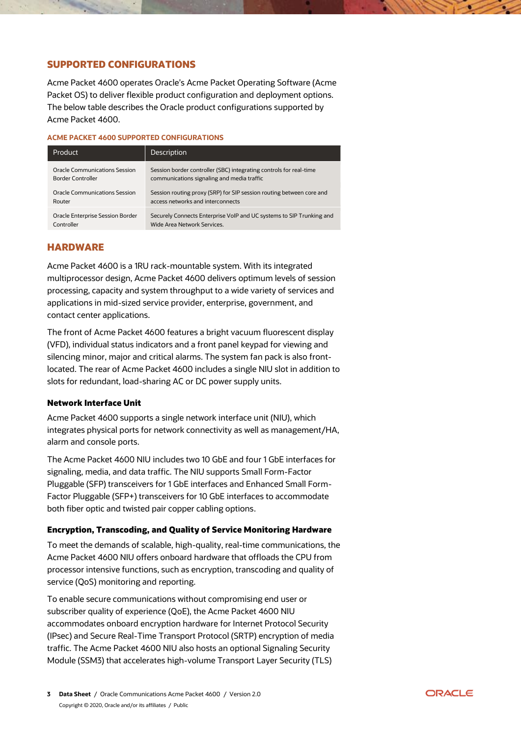# **SUPPORTED CONFIGURATIONS**

Acme Packet 4600 operates Oracle's Acme Packet Operating Software (Acme Packet OS) to deliver flexible product configuration and deployment options. The below table describes the Oracle product configurations supported by Acme Packet 4600.

#### **ACME PACKET 4600 SUPPORTED CONFIGURATIONS**

| Product                          | Description                                                          |
|----------------------------------|----------------------------------------------------------------------|
| Oracle Communications Session    | Session border controller (SBC) integrating controls for real-time   |
| Border Controller                | communications signaling and media traffic                           |
| Oracle Communications Session    | Session routing proxy (SRP) for SIP session routing between core and |
| Router                           | access networks and interconnects                                    |
| Oracle Enterprise Session Border | Securely Connects Enterprise VoIP and UC systems to SIP Trunking and |
| Controller                       | Wide Area Network Services.                                          |

# **HARDWARE**

Acme Packet 4600 is a 1RU rack-mountable system. With its integrated multiprocessor design, Acme Packet 4600 delivers optimum levels of session processing, capacity and system throughput to a wide variety of services and applications in mid-sized service provider, enterprise, government, and contact center applications.

The front of Acme Packet 4600 features a bright vacuum fluorescent display (VFD), individual status indicators and a front panel keypad for viewing and silencing minor, major and critical alarms. The system fan pack is also frontlocated. The rear of Acme Packet 4600 includes a single NIU slot in addition to slots for redundant, load-sharing AC or DC power supply units.

## **Network Interface Unit**

Acme Packet 4600 supports a single network interface unit (NIU), which integrates physical ports for network connectivity as well as management/HA, alarm and console ports.

The Acme Packet 4600 NIU includes two 10 GbE and four 1 GbE interfaces for signaling, media, and data traffic. The NIU supports Small Form-Factor Pluggable (SFP) transceivers for 1 GbE interfaces and Enhanced Small Form-Factor Pluggable (SFP+) transceivers for 10 GbE interfaces to accommodate both fiber optic and twisted pair copper cabling options.

# **Encryption, Transcoding, and Quality of Service Monitoring Hardware**

To meet the demands of scalable, high-quality, real-time communications, the Acme Packet 4600 NIU offers onboard hardware that offloads the CPU from processor intensive functions, such as encryption, transcoding and quality of service (QoS) monitoring and reporting.

To enable secure communications without compromising end user or subscriber quality of experience (QoE), the Acme Packet 4600 NIU accommodates onboard encryption hardware for Internet Protocol Security (IPsec) and Secure Real-Time Transport Protocol (SRTP) encryption of media traffic. The Acme Packet 4600 NIU also hosts an optional Signaling Security Module (SSM3) that accelerates high-volume Transport Layer Security (TLS)

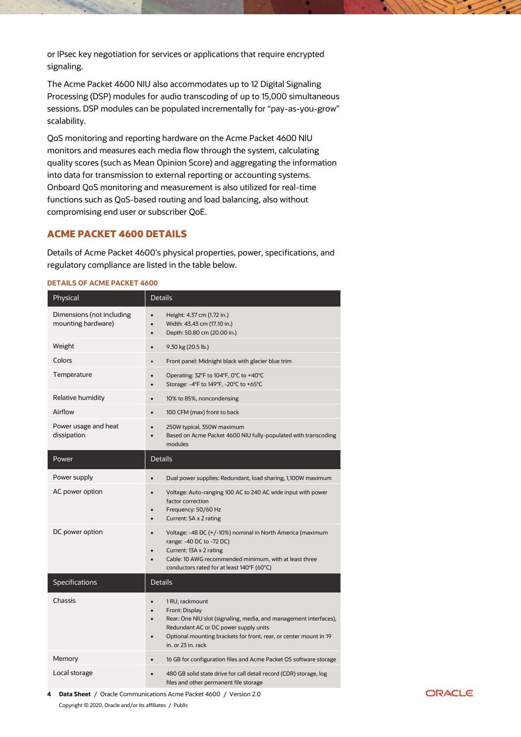or IPsec key negotiation for services or applications that require encrypted signaling.

The Acme Packet 4600 NIU also accommodates up to 12 Digital Signaling Processing (DSP) modules for audio transcoding of up to 15,000 simultaneous sessions. DSP modules can be populated incrementally for "pay-as-you-grow" scalability.

QoS monitoring and reporting hardware on the Acme Packet 4600 NIU monitors and measures each media flow through the system, calculating quality scores (such as Mean Opinion Score) and aggregating the information into data for transmission to external reporting or accounting systems. Onboard QoS monitoring and measurement is also utilized for real-time functions such as QoS-based routing and load balancing, also without compromising end user or subscriber QoE.

# **ACME PACKET 4600 DETAILS**

Details of Acme Packet 4600's physical properties, power, specifications, and regulatory compliance are listed in the table below.

#### **DETAILS OF ACME PACKET 4600**

| Physical                                        | <b>Details</b>                                                                                                                                                                                                                             |
|-------------------------------------------------|--------------------------------------------------------------------------------------------------------------------------------------------------------------------------------------------------------------------------------------------|
| Dimensions (not including<br>mounting hardware) | Height: 4.37 cm (1.72 in.)<br>Width: 43.43 cm (17.10 in.)<br>Depth: 50.80 cm (20.00 in.)<br>$\bullet$                                                                                                                                      |
| Weight                                          | 9.30 kg (20.5 lb.)                                                                                                                                                                                                                         |
| Colors                                          | Front panel: Midnight black with glacier blue trim<br>$\bullet$                                                                                                                                                                            |
| Temperature                                     | Operating: 32°F to 104°F, 0°C to +40°C<br>Storage: -4°F to 149°F, -20°C to +65°C<br>$\bullet$                                                                                                                                              |
| Relative humidity                               | 10% to 85%, noncondensing<br>$\bullet$                                                                                                                                                                                                     |
| Airflow                                         | 100 CFM (max) front to back<br>$\bullet$                                                                                                                                                                                                   |
| Power usage and heat<br>dissipation             | 250W typical, 350W maximum<br>Based on Acme Packet 4600 NIU fully-populated with transcoding<br>$\bullet$<br>modules                                                                                                                       |
| Power                                           | <b>Details</b>                                                                                                                                                                                                                             |
| Power supply                                    | Dual power supplies: Redundant, load sharing, 1,100W maximum                                                                                                                                                                               |
| AC power option                                 | Voltage: Auto-ranging 100 AC to 240 AC wide input with power<br>factor correction<br>Frequency: 50/60 Hz<br>Current: 5A x 2 rating                                                                                                         |
| DC power option                                 | Voltage: -48 DC (+/-10%) nominal in North America (maximum<br>$\bullet$<br>range: -40 DC to -72 DC)<br>Current: 13A x 2 rating<br>Cable: 10 AWG recommended minimum, with at least three<br>conductors rated for at least 140°F (60°C)     |
| Specifications                                  | <b>Details</b>                                                                                                                                                                                                                             |
| Chassis                                         | 1 RU, rackmount<br>Front: Display<br>Rear: One NIU slot (signaling, media, and management interfaces),<br>Redundant AC or DC power supply units<br>Optional mounting brackets for front, rear, or center mount in 19<br>in. or 23 in. rack |
| Memory                                          | 16 GB for configuration files and Acme Packet OS software storage                                                                                                                                                                          |
| Local storage                                   | 480 GB solid state drive for call detail record (CDR) storage, log<br>files and other permanent file storage                                                                                                                               |

**4 Data Sheet** / Oracle Communications Acme Packet 4600 / Version 2.0 Copyright © 2020, Oracle and/or its affiliates / Public

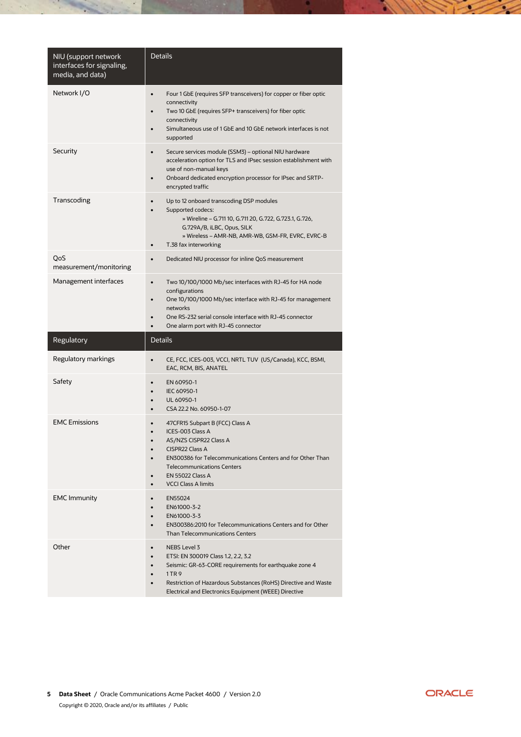| NIU (support network<br>interfaces for signaling,<br>media, and data) | <b>Details</b>                                                                                                                                                                                                                                                            |
|-----------------------------------------------------------------------|---------------------------------------------------------------------------------------------------------------------------------------------------------------------------------------------------------------------------------------------------------------------------|
| Network I/O                                                           | Four 1 GbE (requires SFP transceivers) for copper or fiber optic<br>$\bullet$<br>connectivity<br>Two 10 GbE (requires SFP+ transceivers) for fiber optic<br>connectivity<br>Simultaneous use of 1 GbE and 10 GbE network interfaces is not<br>supported                   |
| Security                                                              | Secure services module (SSM3) - optional NIU hardware<br>$\bullet$<br>acceleration option for TLS and IPsec session establishment with<br>use of non-manual keys<br>Onboard dedicated encryption processor for IPsec and SRTP-<br>encrypted traffic                       |
| Transcoding                                                           | Up to 12 onboard transcoding DSP modules<br>Supported codecs:<br>» Wireline – G.711 10, G.711 20, G.722, G.723.1, G.726,<br>G.729A/B, iLBC, Opus, SILK<br>» Wireless - AMR-NB, AMR-WB, GSM-FR, EVRC, EVRC-B<br>T.38 fax interworking<br>$\bullet$                         |
| QoS<br>measurement/monitoring                                         | Dedicated NIU processor for inline QoS measurement<br>$\bullet$                                                                                                                                                                                                           |
| Management interfaces                                                 | Two 10/100/1000 Mb/sec interfaces with RJ-45 for HA node<br>configurations<br>One 10/100/1000 Mb/sec interface with RJ-45 for management<br>networks<br>One RS-232 serial console interface with RJ-45 connector<br>One alarm port with RJ-45 connector                   |
| Regulatory                                                            | Details                                                                                                                                                                                                                                                                   |
| Regulatory markings                                                   | CE, FCC, ICES-003, VCCI, NRTL TUV (US/Canada), KCC, BSMI,<br>EAC, RCM, BIS, ANATEL                                                                                                                                                                                        |
| Safety                                                                | EN 60950-1<br>IEC 60950-1<br>UL 60950-1<br>CSA 22.2 No. 60950-1-07                                                                                                                                                                                                        |
| <b>EMC</b> Emissions                                                  | 47CFR15 Subpart B (FCC) Class A<br>ICES-003 Class A<br>AS/NZS CISPR22 Class A<br>CISPR22 Class A<br>$\bullet$<br>EN300386 for Telecommunications Centers and for Other Than<br><b>Telecommunications Centers</b><br><b>EN 55022 Class A</b><br><b>VCCI Class A limits</b> |
| <b>EMC Immunity</b>                                                   | EN55024<br>EN61000-3-2<br>EN61000-3-3<br>EN300386:2010 for Telecommunications Centers and for Other<br><b>Than Telecommunications Centers</b>                                                                                                                             |
| Other                                                                 | <b>NEBS Level 3</b><br>ETSI: EN 300019 Class 1.2, 2.2, 3.2<br>Seismic: GR-63-CORE requirements for earthquake zone 4<br>1 TR 9<br>Restriction of Hazardous Substances (RoHS) Directive and Waste<br>Electrical and Electronics Equipment (WEEE) Directive                 |

 $\sim 2$ 



 $\geq$